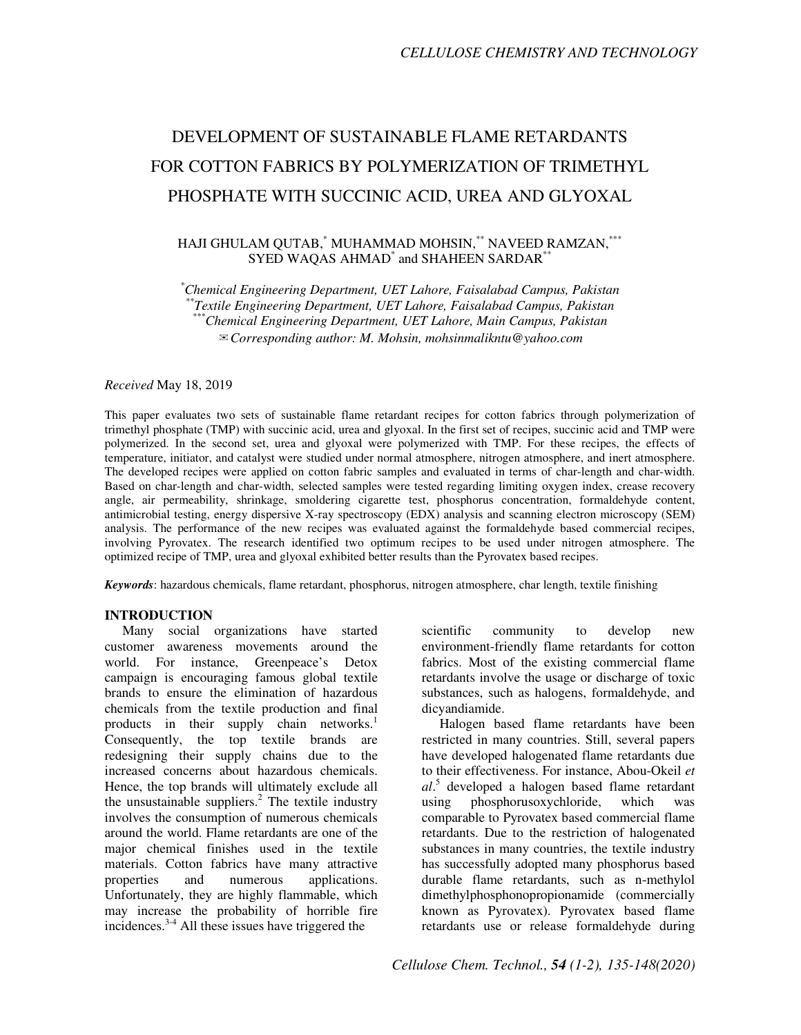# DEVELOPMENT OF SUSTAINABLE FLAME RETARDANTS FOR COTTON FABRICS BY POLYMERIZATION OF TRIMETHYL PHOSPHATE WITH SUCCINIC ACID, UREA AND GLYOXAL

# HAJI GHULAM QUTAB,\* MUHAMMAD MOHSIN,\*\* NAVEED RAMZAN,\*\*\* SYED WAQAS AHMAD<sup>\*</sup> and SHAHEEN SARDAR<sup>\*\*</sup>

*\*Chemical Engineering Department, UET Lahore, Faisalabad Campus, Pakistan \*\*Textile Engineering Department, UET Lahore, Faisalabad Campus, Pakistan \*\*\*Chemical Engineering Department, UET Lahore, Main Campus, Pakistan*  ✉*Corresponding author: M. Mohsin, mohsinmalikntu@yahoo.com* 

## *Received* May 18, 2019

This paper evaluates two sets of sustainable flame retardant recipes for cotton fabrics through polymerization of trimethyl phosphate (TMP) with succinic acid, urea and glyoxal. In the first set of recipes, succinic acid and TMP were polymerized. In the second set, urea and glyoxal were polymerized with TMP. For these recipes, the effects of temperature, initiator, and catalyst were studied under normal atmosphere, nitrogen atmosphere, and inert atmosphere. The developed recipes were applied on cotton fabric samples and evaluated in terms of char-length and char-width. Based on char-length and char-width, selected samples were tested regarding limiting oxygen index, crease recovery angle, air permeability, shrinkage, smoldering cigarette test, phosphorus concentration, formaldehyde content, antimicrobial testing, energy dispersive X-ray spectroscopy (EDX) analysis and scanning electron microscopy (SEM) analysis. The performance of the new recipes was evaluated against the formaldehyde based commercial recipes, involving Pyrovatex. The research identified two optimum recipes to be used under nitrogen atmosphere. The optimized recipe of TMP, urea and glyoxal exhibited better results than the Pyrovatex based recipes.

*Keywords*: hazardous chemicals, flame retardant, phosphorus, nitrogen atmosphere, char length, textile finishing

## **INTRODUCTION**

Many social organizations have started customer awareness movements around the world. For instance, Greenpeace's Detox campaign is encouraging famous global textile brands to ensure the elimination of hazardous chemicals from the textile production and final products in their supply chain networks.<sup>1</sup> Consequently, the top textile brands are redesigning their supply chains due to the increased concerns about hazardous chemicals. Hence, the top brands will ultimately exclude all the unsustainable suppliers. $^2$  The textile industry involves the consumption of numerous chemicals around the world. Flame retardants are one of the major chemical finishes used in the textile materials. Cotton fabrics have many attractive properties and numerous applications. Unfortunately, they are highly flammable, which may increase the probability of horrible fire incidences.3-4 All these issues have triggered the

scientific community to develop new environment-friendly flame retardants for cotton fabrics. Most of the existing commercial flame retardants involve the usage or discharge of toxic substances, such as halogens, formaldehyde, and dicyandiamide.

Halogen based flame retardants have been restricted in many countries. Still, several papers have developed halogenated flame retardants due to their effectiveness. For instance, Abou-Okeil *et al*. 5 developed a halogen based flame retardant using phosphorusoxychloride, which was comparable to Pyrovatex based commercial flame retardants. Due to the restriction of halogenated substances in many countries, the textile industry has successfully adopted many phosphorus based durable flame retardants, such as n-methylol dimethylphosphonopropionamide (commercially known as Pyrovatex). Pyrovatex based flame retardants use or release formaldehyde during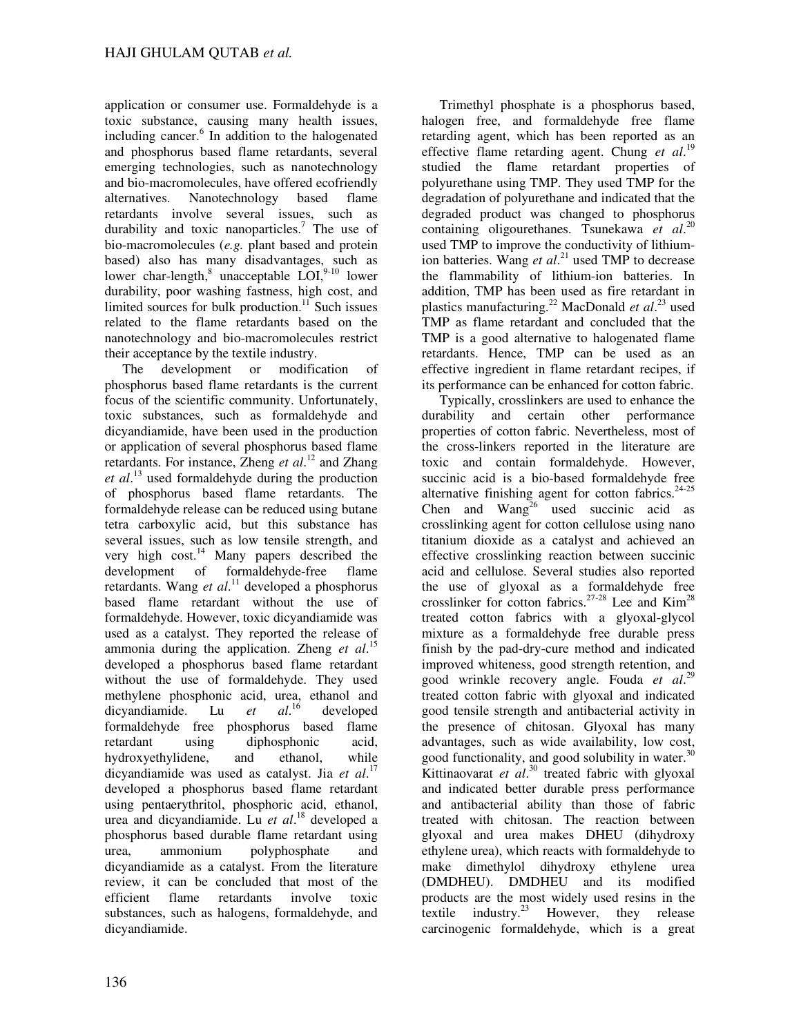application or consumer use. Formaldehyde is a toxic substance, causing many health issues, including cancer.<sup>6</sup> In addition to the halogenated and phosphorus based flame retardants, several emerging technologies, such as nanotechnology and bio-macromolecules, have offered ecofriendly<br>alternatives. Nanotechnology based flame Nanotechnology based flame retardants involve several issues, such as durability and toxic nanoparticles.<sup>7</sup> The use of bio-macromolecules (*e.g.* plant based and protein based) also has many disadvantages, such as lower char-length,<sup>8</sup> unacceptable LOI,<sup>9-10</sup> lower durability, poor washing fastness, high cost, and limited sources for bulk production.<sup>11</sup> Such issues related to the flame retardants based on the nanotechnology and bio-macromolecules restrict their acceptance by the textile industry.

The development or modification of phosphorus based flame retardants is the current focus of the scientific community. Unfortunately, toxic substances, such as formaldehyde and dicyandiamide, have been used in the production or application of several phosphorus based flame retardants. For instance, Zheng *et al*. <sup>12</sup> and Zhang *et al*. <sup>13</sup> used formaldehyde during the production of phosphorus based flame retardants. The formaldehyde release can be reduced using butane tetra carboxylic acid, but this substance has several issues, such as low tensile strength, and very high cost.<sup>14</sup> Many papers described the development of formaldehyde-free flame retardants. Wang *et al*. <sup>11</sup> developed a phosphorus based flame retardant without the use of formaldehyde. However, toxic dicyandiamide was used as a catalyst. They reported the release of ammonia during the application. Zheng *et al*. 15 developed a phosphorus based flame retardant without the use of formaldehyde. They used methylene phosphonic acid, urea, ethanol and<br>dicvandiamide. Lu  $et$   $al$ ,  $\frac{1}{6}$  developed dicyandiamide. Lu et developed formaldehyde free phosphorus based flame retardant using diphosphonic acid, hydroxyethylidene, and ethanol, while dicyandiamide was used as catalyst. Jia *et al*. 17 developed a phosphorus based flame retardant using pentaerythritol, phosphoric acid, ethanol, urea and dicyandiamide. Lu *et al*. <sup>18</sup> developed a phosphorus based durable flame retardant using urea, ammonium polyphosphate and dicyandiamide as a catalyst. From the literature review, it can be concluded that most of the efficient flame retardants involve toxic substances, such as halogens, formaldehyde, and dicyandiamide.

Trimethyl phosphate is a phosphorus based, halogen free, and formaldehyde free flame retarding agent, which has been reported as an effective flame retarding agent. Chung *et al*. 19 studied the flame retardant properties of polyurethane using TMP. They used TMP for the degradation of polyurethane and indicated that the degraded product was changed to phosphorus containing oligourethanes. Tsunekawa *et al*. 20 used TMP to improve the conductivity of lithiumion batteries. Wang *et al*. <sup>21</sup> used TMP to decrease the flammability of lithium-ion batteries. In addition, TMP has been used as fire retardant in plastics manufacturing.<sup>22</sup> MacDonald *et al*. <sup>23</sup> used TMP as flame retardant and concluded that the TMP is a good alternative to halogenated flame retardants. Hence, TMP can be used as an effective ingredient in flame retardant recipes, if its performance can be enhanced for cotton fabric.

Typically, crosslinkers are used to enhance the durability and certain other performance properties of cotton fabric. Nevertheless, most of the cross-linkers reported in the literature are toxic and contain formaldehyde. However, succinic acid is a bio-based formaldehyde free alternative finishing agent for cotton fabrics. $24-25$ Chen and  $Wang<sup>26</sup>$  used succinic acid as crosslinking agent for cotton cellulose using nano titanium dioxide as a catalyst and achieved an effective crosslinking reaction between succinic acid and cellulose. Several studies also reported the use of glyoxal as a formaldehyde free crosslinker for cotton fabrics.<sup>27-28</sup> Lee and  $\text{Kim}^{28}$ treated cotton fabrics with a glyoxal-glycol mixture as a formaldehyde free durable press finish by the pad-dry-cure method and indicated improved whiteness, good strength retention, and good wrinkle recovery angle. Fouda *et al*. 29 treated cotton fabric with glyoxal and indicated good tensile strength and antibacterial activity in the presence of chitosan. Glyoxal has many advantages, such as wide availability, low cost, good functionality, and good solubility in water.<sup>30</sup> Kittinaovarat et al.<sup>30</sup> treated fabric with glyoxal and indicated better durable press performance and antibacterial ability than those of fabric treated with chitosan. The reaction between glyoxal and urea makes DHEU (dihydroxy ethylene urea), which reacts with formaldehyde to make dimethylol dihydroxy ethylene urea (DMDHEU). DMDHEU and its modified products are the most widely used resins in the textile industry.<sup>23</sup> However, they release carcinogenic formaldehyde, which is a great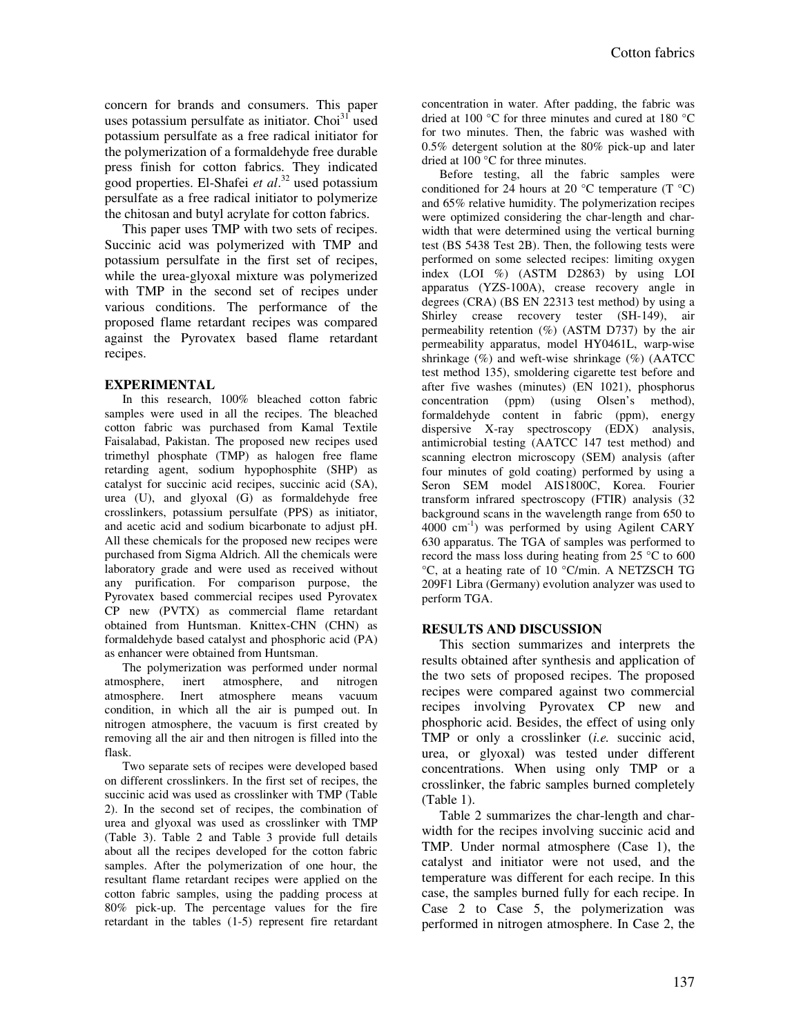concern for brands and consumers. This paper uses potassium persulfate as initiator. Choi $31$  used potassium persulfate as a free radical initiator for the polymerization of a formaldehyde free durable press finish for cotton fabrics. They indicated good properties. El-Shafei *et al*. <sup>32</sup> used potassium persulfate as a free radical initiator to polymerize the chitosan and butyl acrylate for cotton fabrics.

This paper uses TMP with two sets of recipes. Succinic acid was polymerized with TMP and potassium persulfate in the first set of recipes, while the urea-glyoxal mixture was polymerized with TMP in the second set of recipes under various conditions. The performance of the proposed flame retardant recipes was compared against the Pyrovatex based flame retardant recipes.

## **EXPERIMENTAL**

In this research, 100% bleached cotton fabric samples were used in all the recipes. The bleached cotton fabric was purchased from Kamal Textile Faisalabad, Pakistan. The proposed new recipes used trimethyl phosphate (TMP) as halogen free flame retarding agent, sodium hypophosphite (SHP) as catalyst for succinic acid recipes, succinic acid (SA), urea (U), and glyoxal (G) as formaldehyde free crosslinkers, potassium persulfate (PPS) as initiator, and acetic acid and sodium bicarbonate to adjust pH. All these chemicals for the proposed new recipes were purchased from Sigma Aldrich. All the chemicals were laboratory grade and were used as received without any purification. For comparison purpose, the Pyrovatex based commercial recipes used Pyrovatex CP new (PVTX) as commercial flame retardant obtained from Huntsman. Knittex-CHN (CHN) as formaldehyde based catalyst and phosphoric acid (PA) as enhancer were obtained from Huntsman.

The polymerization was performed under normal atmosphere, inert atmosphere, and nitrogen atmosphere. Inert atmosphere means vacuum condition, in which all the air is pumped out. In nitrogen atmosphere, the vacuum is first created by removing all the air and then nitrogen is filled into the flask.

Two separate sets of recipes were developed based on different crosslinkers. In the first set of recipes, the succinic acid was used as crosslinker with TMP (Table 2). In the second set of recipes, the combination of urea and glyoxal was used as crosslinker with TMP (Table 3). Table 2 and Table 3 provide full details about all the recipes developed for the cotton fabric samples. After the polymerization of one hour, the resultant flame retardant recipes were applied on the cotton fabric samples, using the padding process at 80% pick-up. The percentage values for the fire retardant in the tables (1-5) represent fire retardant

concentration in water. After padding, the fabric was dried at 100 °C for three minutes and cured at 180 °C for two minutes. Then, the fabric was washed with 0.5% detergent solution at the 80% pick-up and later dried at 100 °C for three minutes.

Before testing, all the fabric samples were conditioned for 24 hours at 20  $^{\circ}$ C temperature (T  $^{\circ}$ C) and 65% relative humidity. The polymerization recipes were optimized considering the char-length and charwidth that were determined using the vertical burning test (BS 5438 Test 2B). Then, the following tests were performed on some selected recipes: limiting oxygen index (LOI %) (ASTM D2863) by using LOI apparatus (YZS-100A), crease recovery angle in degrees (CRA) (BS EN 22313 test method) by using a Shirley crease recovery tester (SH-149), air permeability retention (%) (ASTM D737) by the air permeability apparatus, model HY0461L, warp-wise shrinkage  $(\%)$  and weft-wise shrinkage  $(\%)$  (AATCC) test method 135), smoldering cigarette test before and after five washes (minutes) (EN 1021), phosphorus concentration (ppm) (using Olsen's method), formaldehyde content in fabric (ppm), energy dispersive X-ray spectroscopy (EDX) analysis, antimicrobial testing (AATCC 147 test method) and scanning electron microscopy (SEM) analysis (after four minutes of gold coating) performed by using a Seron SEM model AIS1800C, Korea. Fourier transform infrared spectroscopy (FTIR) analysis (32 background scans in the wavelength range from 650 to  $4000 \text{ cm}^{-1}$ ) was performed by using Agilent CARY 630 apparatus. The TGA of samples was performed to record the mass loss during heating from 25 °C to 600 °C, at a heating rate of 10 °C/min. A NETZSCH TG 209F1 Libra (Germany) evolution analyzer was used to perform TGA.

## **RESULTS AND DISCUSSION**

This section summarizes and interprets the results obtained after synthesis and application of the two sets of proposed recipes. The proposed recipes were compared against two commercial recipes involving Pyrovatex CP new and phosphoric acid. Besides, the effect of using only TMP or only a crosslinker (*i.e.* succinic acid, urea, or glyoxal) was tested under different concentrations. When using only TMP or a crosslinker, the fabric samples burned completely (Table 1).

Table 2 summarizes the char-length and charwidth for the recipes involving succinic acid and TMP. Under normal atmosphere (Case 1), the catalyst and initiator were not used, and the temperature was different for each recipe. In this case, the samples burned fully for each recipe. In Case 2 to Case 5, the polymerization was performed in nitrogen atmosphere. In Case 2, the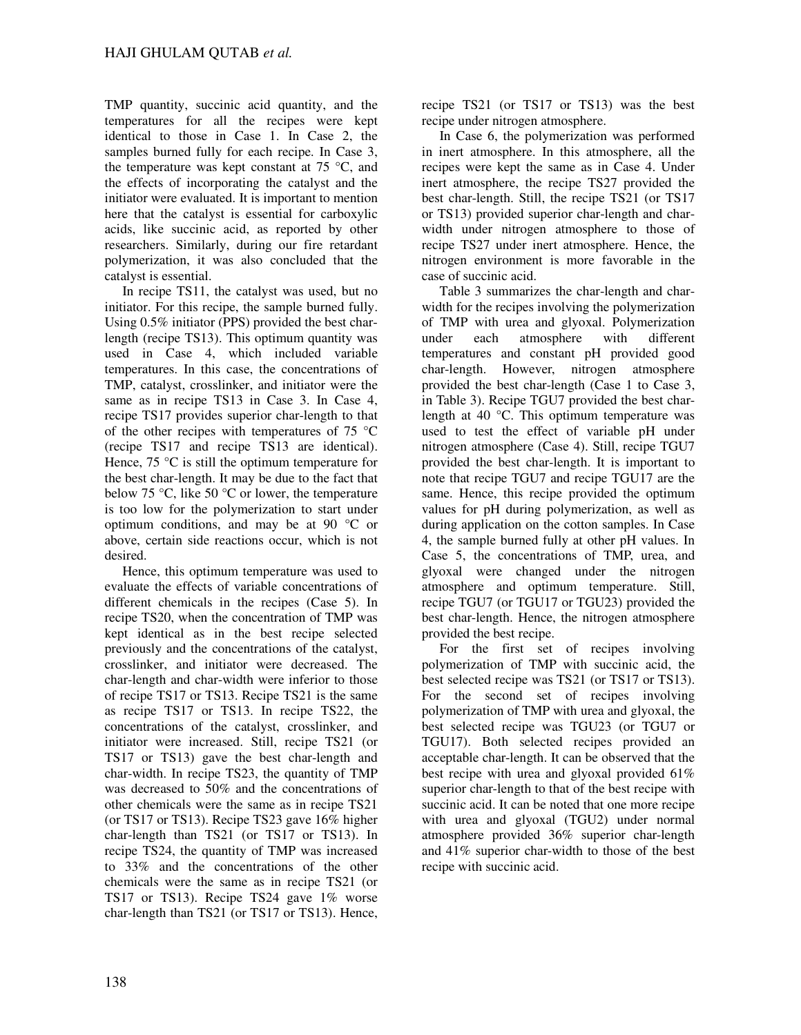TMP quantity, succinic acid quantity, and the temperatures for all the recipes were kept identical to those in Case 1. In Case 2, the samples burned fully for each recipe. In Case 3, the temperature was kept constant at  $75^{\circ}$ C, and the effects of incorporating the catalyst and the initiator were evaluated. It is important to mention here that the catalyst is essential for carboxylic acids, like succinic acid, as reported by other researchers. Similarly, during our fire retardant polymerization, it was also concluded that the catalyst is essential.

In recipe TS11, the catalyst was used, but no initiator. For this recipe, the sample burned fully. Using 0.5% initiator (PPS) provided the best charlength (recipe TS13). This optimum quantity was used in Case 4, which included variable temperatures. In this case, the concentrations of TMP, catalyst, crosslinker, and initiator were the same as in recipe TS13 in Case 3. In Case 4, recipe TS17 provides superior char-length to that of the other recipes with temperatures of 75 °C (recipe TS17 and recipe TS13 are identical). Hence,  $75 \text{ °C}$  is still the optimum temperature for the best char-length. It may be due to the fact that below 75 °C, like 50 °C or lower, the temperature is too low for the polymerization to start under optimum conditions, and may be at 90 °C or above, certain side reactions occur, which is not desired.

Hence, this optimum temperature was used to evaluate the effects of variable concentrations of different chemicals in the recipes (Case 5). In recipe TS20, when the concentration of TMP was kept identical as in the best recipe selected previously and the concentrations of the catalyst, crosslinker, and initiator were decreased. The char-length and char-width were inferior to those of recipe TS17 or TS13. Recipe TS21 is the same as recipe TS17 or TS13. In recipe TS22, the concentrations of the catalyst, crosslinker, and initiator were increased. Still, recipe TS21 (or TS17 or TS13) gave the best char-length and char-width. In recipe TS23, the quantity of TMP was decreased to 50% and the concentrations of other chemicals were the same as in recipe TS21 (or TS17 or TS13). Recipe TS23 gave 16% higher char-length than TS21 (or TS17 or TS13). In recipe TS24, the quantity of TMP was increased to 33% and the concentrations of the other chemicals were the same as in recipe TS21 (or TS17 or TS13). Recipe TS24 gave 1% worse char-length than TS21 (or TS17 or TS13). Hence,

recipe TS21 (or TS17 or TS13) was the best recipe under nitrogen atmosphere.

In Case 6, the polymerization was performed in inert atmosphere. In this atmosphere, all the recipes were kept the same as in Case 4. Under inert atmosphere, the recipe TS27 provided the best char-length. Still, the recipe TS21 (or TS17 or TS13) provided superior char-length and charwidth under nitrogen atmosphere to those of recipe TS27 under inert atmosphere. Hence, the nitrogen environment is more favorable in the case of succinic acid.

Table 3 summarizes the char-length and charwidth for the recipes involving the polymerization of TMP with urea and glyoxal. Polymerization under each atmosphere with different temperatures and constant pH provided good char-length. However, nitrogen atmosphere provided the best char-length (Case 1 to Case 3, in Table 3). Recipe TGU7 provided the best charlength at 40 °C. This optimum temperature was used to test the effect of variable pH under nitrogen atmosphere (Case 4). Still, recipe TGU7 provided the best char-length. It is important to note that recipe TGU7 and recipe TGU17 are the same. Hence, this recipe provided the optimum values for pH during polymerization, as well as during application on the cotton samples. In Case 4, the sample burned fully at other pH values. In Case 5, the concentrations of TMP, urea, and glyoxal were changed under the nitrogen atmosphere and optimum temperature. Still, recipe TGU7 (or TGU17 or TGU23) provided the best char-length. Hence, the nitrogen atmosphere provided the best recipe.

For the first set of recipes involving polymerization of TMP with succinic acid, the best selected recipe was TS21 (or TS17 or TS13). For the second set of recipes involving polymerization of TMP with urea and glyoxal, the best selected recipe was TGU23 (or TGU7 or TGU17). Both selected recipes provided an acceptable char-length. It can be observed that the best recipe with urea and glyoxal provided 61% superior char-length to that of the best recipe with succinic acid. It can be noted that one more recipe with urea and glyoxal (TGU2) under normal atmosphere provided 36% superior char-length and 41% superior char-width to those of the best recipe with succinic acid.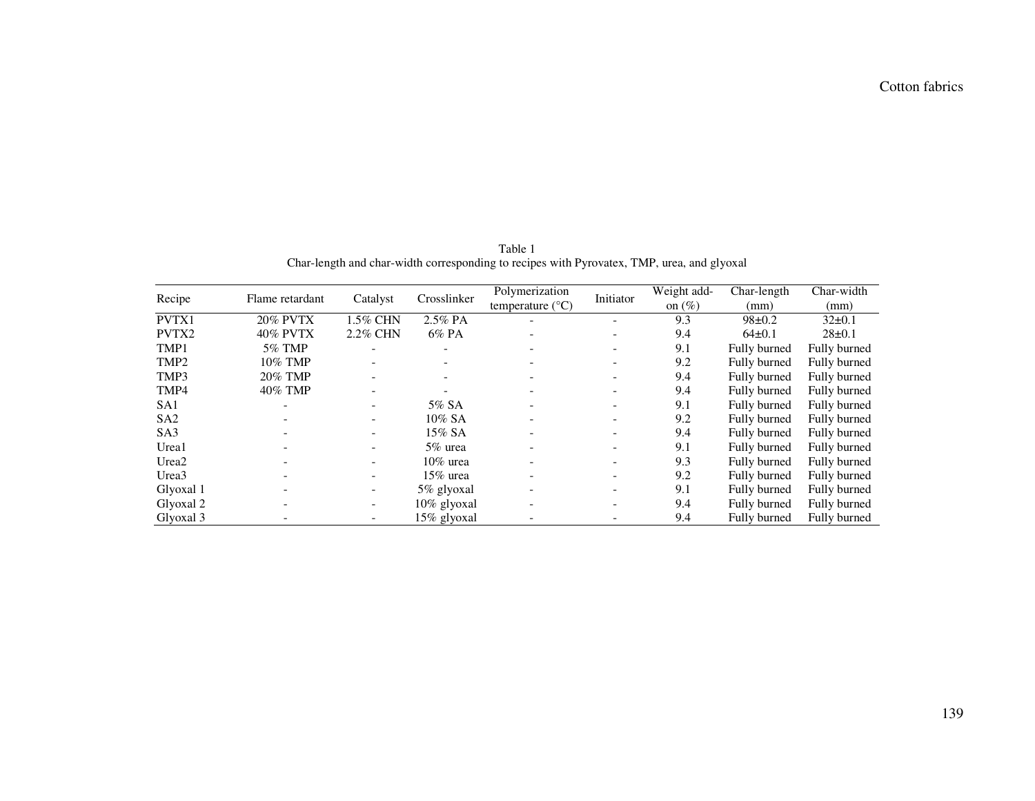| Recipe            | Flame retardant | Catalyst                 | Crosslinker    | Polymerization<br>temperature $(^{\circ}C)$ | Initiator                | Weight add-<br>on $(\% )$ | Char-length<br>(mm) | Char-width<br>(mm) |
|-------------------|-----------------|--------------------------|----------------|---------------------------------------------|--------------------------|---------------------------|---------------------|--------------------|
| PVTX1             | <b>20% PVTX</b> | 1.5% CHN                 | 2.5% PA        |                                             | $\overline{\phantom{0}}$ | 9.3                       | $98 \pm 0.2$        | $32\pm0.1$         |
| PVTX2             | <b>40% PVTX</b> | 2.2% CHN                 | $6\%$ PA       |                                             | $\overline{\phantom{a}}$ | 9.4                       | $64\pm0.1$          | $28 \pm 0.1$       |
| TMP1              | 5% TMP          |                          |                |                                             |                          | 9.1                       | Fully burned        | Fully burned       |
| TMP <sub>2</sub>  | 10% TMP         |                          |                |                                             | $\overline{\phantom{0}}$ | 9.2                       | Fully burned        | Fully burned       |
| TMP3              | 20% TMP         | $\overline{\phantom{a}}$ |                |                                             | $\overline{\phantom{0}}$ | 9.4                       | Fully burned        | Fully burned       |
| TMP4              | 40% TMP         |                          |                |                                             |                          | 9.4                       | Fully burned        | Fully burned       |
| SA <sub>1</sub>   |                 |                          | 5% SA          |                                             | $\overline{\phantom{0}}$ | 9.1                       | Fully burned        | Fully burned       |
| SA2               |                 |                          | $10\%$ SA      |                                             |                          | 9.2                       | Fully burned        | Fully burned       |
| SA <sub>3</sub>   |                 | $\overline{\phantom{a}}$ | $15\%$ SA      |                                             | $\overline{\phantom{0}}$ | 9.4                       | Fully burned        | Fully burned       |
| Urea1             |                 | $\overline{\phantom{0}}$ | 5% urea        |                                             | $\overline{\phantom{0}}$ | 9.1                       | Fully burned        | Fully burned       |
| Urea <sub>2</sub> |                 | Ξ.                       | $10\%$ urea    |                                             |                          | 9.3                       | Fully burned        | Fully burned       |
| Urea <sub>3</sub> |                 | $\overline{\phantom{a}}$ | 15% urea       |                                             |                          | 9.2                       | Fully burned        | Fully burned       |
| Glyoxal 1         |                 | $\overline{\phantom{a}}$ | 5% glyoxal     |                                             |                          | 9.1                       | Fully burned        | Fully burned       |
| Glyoxal 2         |                 | $\overline{\phantom{a}}$ | $10\%$ glyoxal |                                             | $\overline{\phantom{a}}$ | 9.4                       | Fully burned        | Fully burned       |
| Glyoxal 3         |                 |                          | 15% glyoxal    |                                             |                          | 9.4                       | Fully burned        | Fully burned       |

Table 1<br>Char-length and char-width corresponding to recipes with Pyrovatex, TMP, urea, and glyoxal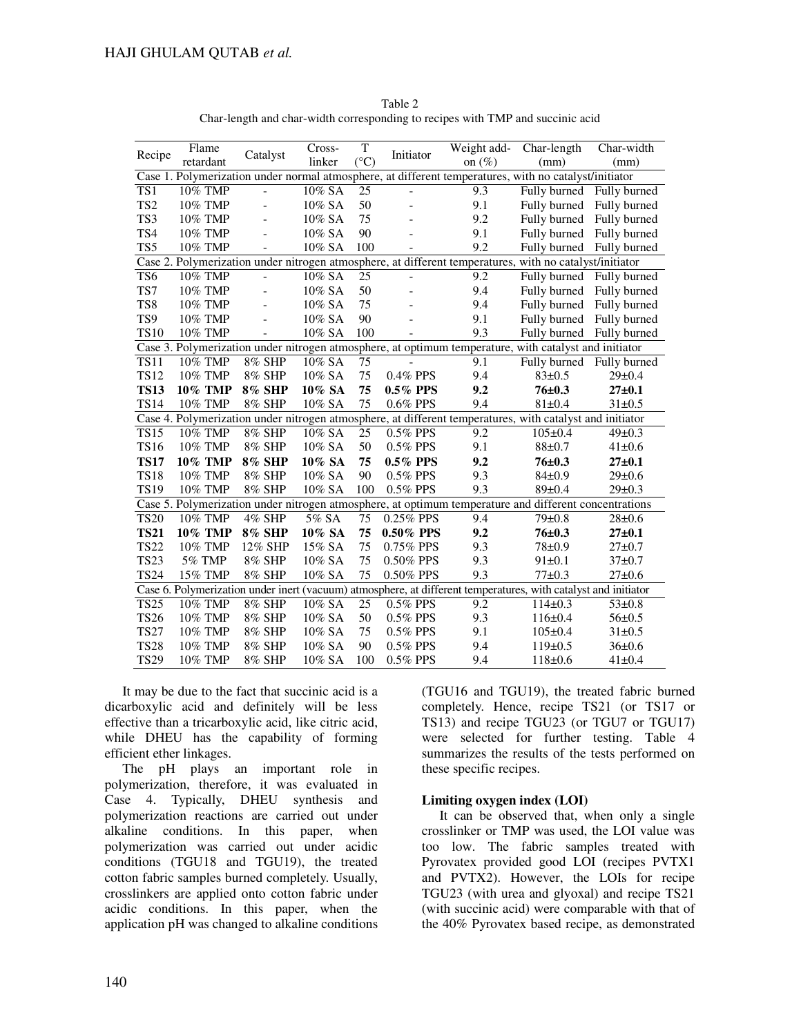|                                                                                                                | Flame                                                                                                 |                | Cross-    | T             | Initiator      | Weight add- | Char-length                                                                                           | Char-width   |  |  |  |
|----------------------------------------------------------------------------------------------------------------|-------------------------------------------------------------------------------------------------------|----------------|-----------|---------------|----------------|-------------|-------------------------------------------------------------------------------------------------------|--------------|--|--|--|
| Recipe                                                                                                         | retardant                                                                                             | Catalyst       | linker    | $(^{\circ}C)$ |                | on $(\%)$   | (mm)                                                                                                  | (mm)         |  |  |  |
| Case 1. Polymerization under normal atmosphere, at different temperatures, with no catalyst/initiator          |                                                                                                       |                |           |               |                |             |                                                                                                       |              |  |  |  |
| TS1                                                                                                            | 10% TMP                                                                                               |                | 10% SA    | 25            | $\overline{a}$ | 9.3         | Fully burned                                                                                          | Fully burned |  |  |  |
| TS <sub>2</sub>                                                                                                | 10% TMP                                                                                               | $\overline{a}$ | 10% SA    | 50            |                | 9.1         | Fully burned                                                                                          | Fully burned |  |  |  |
| TS3                                                                                                            | 10% TMP                                                                                               |                | 10% SA    | 75            |                | 9.2         | Fully burned                                                                                          | Fully burned |  |  |  |
| TS4                                                                                                            | 10% TMP                                                                                               | $\overline{a}$ | 10% SA    | 90            |                | 9.1         | Fully burned                                                                                          | Fully burned |  |  |  |
| TS5                                                                                                            | 10% TMP                                                                                               | $\overline{a}$ | 10% SA    | 100           |                | 9.2         | Fully burned                                                                                          | Fully burned |  |  |  |
| Case 2. Polymerization under nitrogen atmosphere, at different temperatures, with no catalyst/initiator        |                                                                                                       |                |           |               |                |             |                                                                                                       |              |  |  |  |
| TS6                                                                                                            | 10% TMP                                                                                               | $\overline{a}$ | 10% SA    | 25            | $\overline{a}$ | 9.2         | Fully burned                                                                                          | Fully burned |  |  |  |
| TS7                                                                                                            | 10% TMP                                                                                               | $\overline{a}$ | 10% SA    | 50            |                | 9.4         | Fully burned                                                                                          | Fully burned |  |  |  |
| TS8                                                                                                            | 10% TMP                                                                                               |                | 10% SA    | 75            |                | 9.4         | Fully burned                                                                                          | Fully burned |  |  |  |
| TS9                                                                                                            | 10% TMP                                                                                               |                | 10% SA    | 90            |                | 9.1         | Fully burned                                                                                          | Fully burned |  |  |  |
| <b>TS10</b>                                                                                                    | 10% TMP                                                                                               | $\overline{a}$ | 10% SA    | 100           |                | 9.3         | Fully burned                                                                                          | Fully burned |  |  |  |
|                                                                                                                | Case 3. Polymerization under nitrogen atmosphere, at optimum temperature, with catalyst and initiator |                |           |               |                |             |                                                                                                       |              |  |  |  |
| $\overline{\text{TS}}11$                                                                                       | 10% TMP                                                                                               | 8% SHP         | 10% SA    | 75            |                | 9.1         | Fully burned                                                                                          | Fully burned |  |  |  |
| <b>TS12</b>                                                                                                    | 10% TMP                                                                                               | 8% SHP         | 10% SA    | 75            | 0.4% PPS       | 9.4         | $83 \pm 0.5$                                                                                          | $29 \pm 0.4$ |  |  |  |
| <b>TS13</b>                                                                                                    | <b>10% TMP</b>                                                                                        | <b>8% SHP</b>  | 10% SA    | 75            | 0.5% PPS       | 9.2         | $76 + 0.3$                                                                                            | $27 + 0.1$   |  |  |  |
| <b>TS14</b>                                                                                                    | 10% TMP                                                                                               | 8% SHP         | 10% SA    | 75            | $0.6\%$ PPS    | 9.4         | 81±0.4                                                                                                | $31 \pm 0.5$ |  |  |  |
| Case 4. Polymerization under nitrogen atmosphere, at different temperatures, with catalyst and initiator       |                                                                                                       |                |           |               |                |             |                                                                                                       |              |  |  |  |
| <b>TS15</b>                                                                                                    | 10% TMP                                                                                               | 8% SHP         | 10% SA    | 25            | 0.5% PPS       | 9.2         | $105 \pm 0.4$                                                                                         | $49 \pm 0.3$ |  |  |  |
| <b>TS16</b>                                                                                                    | 10% TMP                                                                                               | 8% SHP         | 10% SA    | 50            | $0.5\%$ PPS    | 9.1         | $88 \pm 0.7$                                                                                          | $41 \pm 0.6$ |  |  |  |
| <b>TS17</b>                                                                                                    | <b>10% TMP</b>                                                                                        | <b>8% SHP</b>  | 10% SA    | 75            | $0.5\%$ PPS    | 9.2         | $76 + 0.3$                                                                                            | $27 + 0.1$   |  |  |  |
| <b>TS18</b>                                                                                                    | 10% TMP                                                                                               | 8% SHP         | $10\%$ SA | 90            | $0.5\%$ PPS    | 9.3         | $84\pm0.9$                                                                                            | $29 \pm 0.6$ |  |  |  |
| <b>TS19</b>                                                                                                    | 10% TMP                                                                                               | 8% SHP         | 10% SA    | 100           | $0.5\%$ PPS    | 9.3         | $89 \pm 0.4$                                                                                          | $29 \pm 0.3$ |  |  |  |
|                                                                                                                |                                                                                                       |                |           |               |                |             | Case 5. Polymerization under nitrogen atmosphere, at optimum temperature and different concentrations |              |  |  |  |
| <b>TS20</b>                                                                                                    | 10% TMP                                                                                               | 4% SHP         | 5% SA     | 75            | 0.25% PPS      | 9.4         | $79 \pm 0.8$                                                                                          | $28 \pm 0.6$ |  |  |  |
| <b>TS21</b>                                                                                                    | <b>10% TMP</b>                                                                                        | <b>8% SHP</b>  | 10% SA    | 75            | 0.50% PPS      | 9.2         | $76 + 0.3$                                                                                            | $27 + 0.1$   |  |  |  |
| <b>TS22</b>                                                                                                    | 10% TMP                                                                                               | 12% SHP        | 15% SA    | 75            | 0.75% PPS      | 9.3         | $78 + 0.9$                                                                                            | $27 \pm 0.7$ |  |  |  |
| <b>TS23</b>                                                                                                    | 5% TMP                                                                                                | 8% SHP         | 10% SA    | 75            | 0.50% PPS      | 9.3         | 91±0.1                                                                                                | $37+0.7$     |  |  |  |
| <b>TS24</b>                                                                                                    | 15% TMP                                                                                               | 8% SHP         | 10% SA    | 75            | 0.50% PPS      | 9.3         | $77 + 0.3$                                                                                            | $27 \pm 0.6$ |  |  |  |
| Case 6. Polymerization under inert (vacuum) atmosphere, at different temperatures, with catalyst and initiator |                                                                                                       |                |           |               |                |             |                                                                                                       |              |  |  |  |
| <b>TS25</b>                                                                                                    | 10% TMP                                                                                               | 8% SHP         | 10% SA    | 25            | $0.5\%$ PPS    | 9.2         | $114\pm0.3$                                                                                           | 53±0.8       |  |  |  |
| <b>TS26</b>                                                                                                    | 10% TMP                                                                                               | 8% SHP         | 10% SA    | 50            | 0.5% PPS       | 9.3         | $116 \pm 0.4$                                                                                         | $56 \pm 0.5$ |  |  |  |
| <b>TS27</b>                                                                                                    | 10% TMP                                                                                               | 8% SHP         | 10% SA    | 75            | 0.5% PPS       | 9.1         | $105 \pm 0.4$                                                                                         | $31 \pm 0.5$ |  |  |  |
| <b>TS28</b>                                                                                                    | 10% TMP                                                                                               | 8% SHP         | 10% SA    | 90            | 0.5% PPS       | 9.4         | 119±0.5                                                                                               | 36±0.6       |  |  |  |
| <b>TS29</b>                                                                                                    | 10% TMP                                                                                               | 8% SHP         | 10% SA    | 100           | 0.5% PPS       | 9.4         | 118±0.6                                                                                               | $41 \pm 0.4$ |  |  |  |

Table 2 Char-length and char-width corresponding to recipes with TMP and succinic acid

It may be due to the fact that succinic acid is a dicarboxylic acid and definitely will be less effective than a tricarboxylic acid, like citric acid, while DHEU has the capability of forming efficient ether linkages.

The pH plays an important role in polymerization, therefore, it was evaluated in Case 4. Typically, DHEU synthesis and polymerization reactions are carried out under alkaline conditions. In this paper, when polymerization was carried out under acidic conditions (TGU18 and TGU19), the treated cotton fabric samples burned completely. Usually, crosslinkers are applied onto cotton fabric under acidic conditions. In this paper, when the application pH was changed to alkaline conditions

(TGU16 and TGU19), the treated fabric burned completely. Hence, recipe TS21 (or TS17 or TS13) and recipe TGU23 (or TGU7 or TGU17) were selected for further testing. Table 4 summarizes the results of the tests performed on these specific recipes.

# **Limiting oxygen index (LOI)**

It can be observed that, when only a single crosslinker or TMP was used, the LOI value was too low. The fabric samples treated with Pyrovatex provided good LOI (recipes PVTX1 and PVTX2). However, the LOIs for recipe TGU23 (with urea and glyoxal) and recipe TS21 (with succinic acid) were comparable with that of the 40% Pyrovatex based recipe, as demonstrated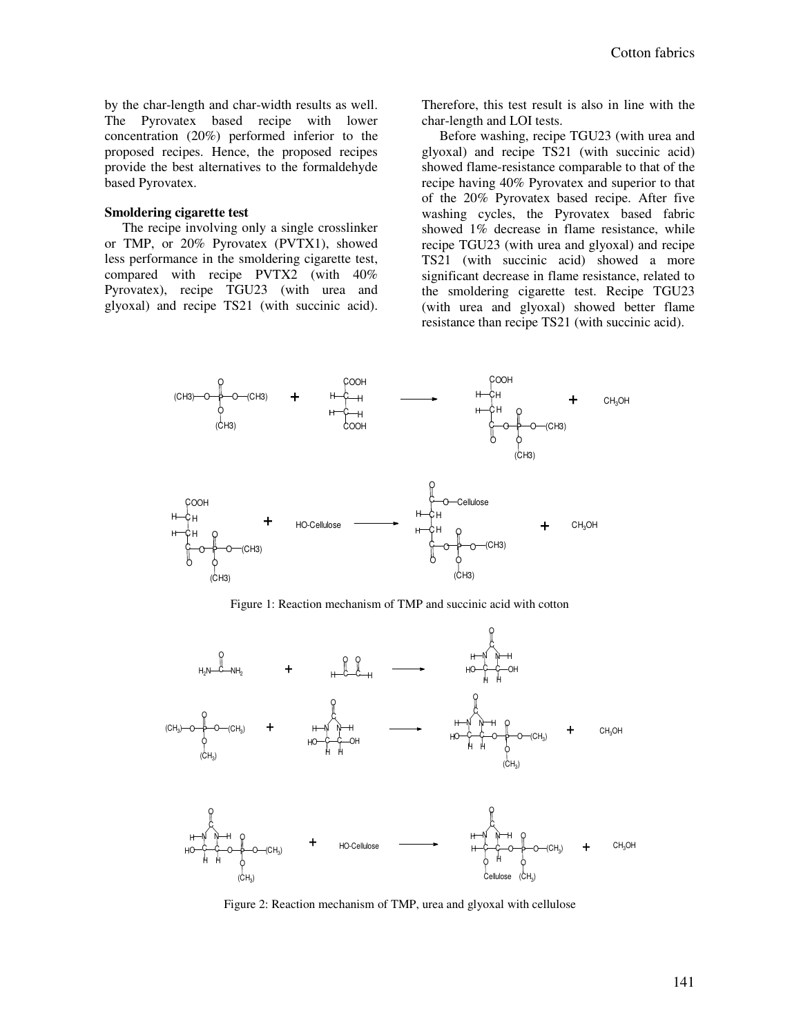by the char-length and char-width results as well. The Pyrovatex based recipe with lower concentration (20%) performed inferior to the proposed recipes. Hence, the proposed recipes provide the best alternatives to the formaldehyde based Pyrovatex.

#### **Smoldering cigarette test**

The recipe involving only a single crosslinker or TMP, or 20% Pyrovatex (PVTX1), showed less performance in the smoldering cigarette test, compared with recipe PVTX2 (with 40% Pyrovatex), recipe TGU23 (with urea and glyoxal) and recipe TS21 (with succinic acid).

Therefore, this test result is also in line with the char-length and LOI tests.

Before washing, recipe TGU23 (with urea and glyoxal) and recipe TS21 (with succinic acid) showed flame-resistance comparable to that of the recipe having 40% Pyrovatex and superior to that of the 20% Pyrovatex based recipe. After five washing cycles, the Pyrovatex based fabric showed 1% decrease in flame resistance, while recipe TGU23 (with urea and glyoxal) and recipe TS21 (with succinic acid) showed a more significant decrease in flame resistance, related to the smoldering cigarette test. Recipe TGU23 (with urea and glyoxal) showed better flame resistance than recipe TS21 (with succinic acid).



Figure 1: Reaction mechanism of TMP and succinic acid with cotton



Figure 2: Reaction mechanism of TMP, urea and glyoxal with cellulose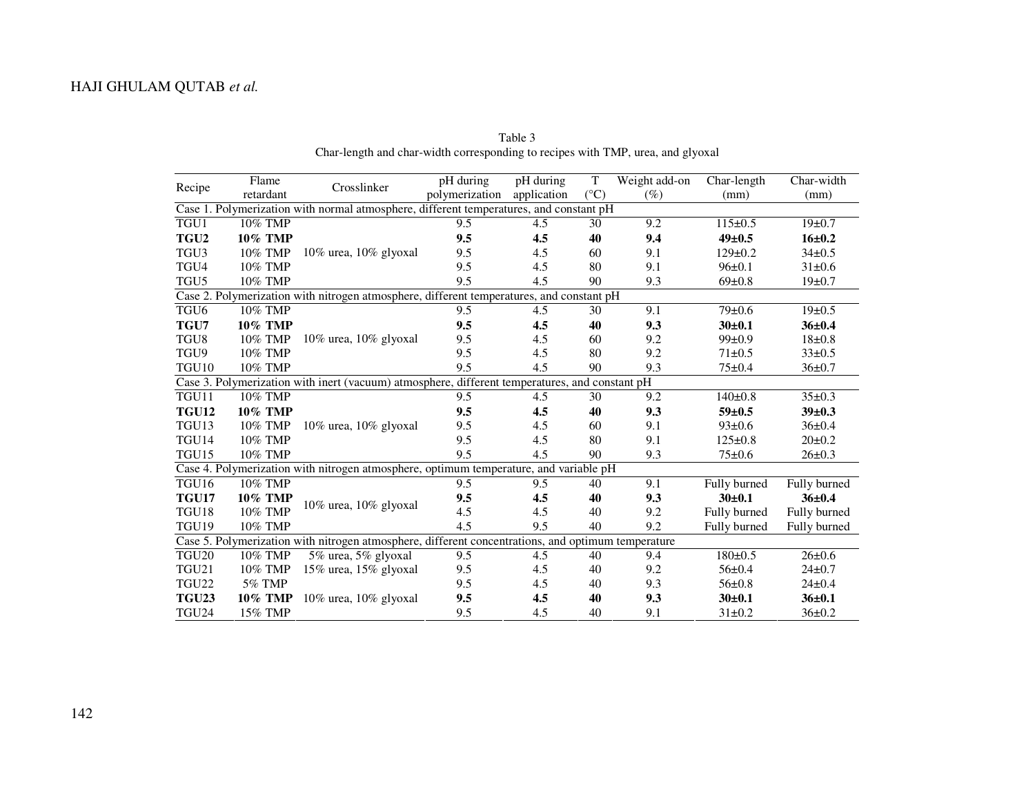| Flame<br>Recipe<br>retardant                                                                   |                                                                                                    | Crosslinker                                                                           | pH during      | pH during   | T               | Weight add-on | Char-length   | Char-width   |  |  |  |
|------------------------------------------------------------------------------------------------|----------------------------------------------------------------------------------------------------|---------------------------------------------------------------------------------------|----------------|-------------|-----------------|---------------|---------------|--------------|--|--|--|
|                                                                                                |                                                                                                    |                                                                                       | polymerization | application | $({}^{\circ}C)$ | $(\%)$        | (mm)          | (mm)         |  |  |  |
| Case 1. Polymerization with normal atmosphere, different temperatures, and constant pH         |                                                                                                    |                                                                                       |                |             |                 |               |               |              |  |  |  |
| TGU1                                                                                           | 10% TMP                                                                                            |                                                                                       | 9.5            | 4.5         | 30              | 9.2           | $115 \pm 0.5$ | $19+0.7$     |  |  |  |
| TGU <sub>2</sub>                                                                               | <b>10% TMP</b>                                                                                     |                                                                                       | 9.5            | 4.5         | 40              | 9,4           | $49+0.5$      | $16 + 0.2$   |  |  |  |
| TGU <sub>3</sub>                                                                               | 10% TMP                                                                                            | $10\%$ urea, $10\%$ glyoxal                                                           | 9.5            | 4.5         | 60              | 9.1           | $129 \pm 0.2$ | $34\pm0.5$   |  |  |  |
| TGU4                                                                                           | 10% TMP                                                                                            |                                                                                       | 9.5            | 4.5         | 80              | 9.1           | $96 \pm 0.1$  | $31 \pm 0.6$ |  |  |  |
| TGU <sub>5</sub>                                                                               | 10% TMP                                                                                            |                                                                                       | 9.5            | 4.5         | 90              | 9.3           | $69 \pm 0.8$  | 19±0.7       |  |  |  |
| Case 2. Polymerization with nitrogen atmosphere, different temperatures, and constant pH       |                                                                                                    |                                                                                       |                |             |                 |               |               |              |  |  |  |
| TGU <sub>6</sub>                                                                               | 10% TMP                                                                                            |                                                                                       | 9.5            | 4.5         | 30              | 9.1           | $79 \pm 0.6$  | 19±0.5       |  |  |  |
| TGU7                                                                                           | 10% TMP                                                                                            |                                                                                       | 9.5            | 4.5         | 40              | 9.3           | $30+0.1$      | $36 + 0.4$   |  |  |  |
| TGU8                                                                                           | 10% TMP                                                                                            | 10% urea, 10% glyoxal                                                                 | 9.5            | 4.5         | 60              | 9.2           | $99 \pm 0.9$  | $18 + 0.8$   |  |  |  |
| TGU9                                                                                           | 10% TMP                                                                                            |                                                                                       | 9.5            | 4.5         | 80              | 9.2           | $71 \pm 0.5$  | $33 \pm 0.5$ |  |  |  |
| TGU10                                                                                          | 10% TMP                                                                                            |                                                                                       | 9.5            | 4.5         | 90              | 9.3           | $75 \pm 0.4$  | $36 \pm 0.7$ |  |  |  |
| Case 3. Polymerization with inert (vacuum) atmosphere, different temperatures, and constant pH |                                                                                                    |                                                                                       |                |             |                 |               |               |              |  |  |  |
| TGU11                                                                                          | 10% TMP                                                                                            |                                                                                       | 9.5            | 4.5         | 30              | 9.2           | $140 \pm 0.8$ | $35 \pm 0.3$ |  |  |  |
| <b>TGU12</b>                                                                                   | 10% TMP                                                                                            |                                                                                       | 9.5            | 4.5         | 40              | 9.3           | $59 + 0.5$    | $39+0.3$     |  |  |  |
| TGU13                                                                                          | 10% TMP                                                                                            | $10\%$ urea, $10\%$ glyoxal                                                           | 9.5            | 4.5         | 60              | 9.1           | $93 \pm 0.6$  | $36 \pm 0.4$ |  |  |  |
| TGU14                                                                                          | 10% TMP                                                                                            |                                                                                       | 9.5            | 4.5         | 80              | 9.1           | $125 \pm 0.8$ | $20 \pm 0.2$ |  |  |  |
| TGU15                                                                                          | 10% TMP                                                                                            |                                                                                       | 9.5            | 4.5         | 90              | 9.3           | $75 \pm 0.6$  | $26 \pm 0.3$ |  |  |  |
|                                                                                                |                                                                                                    | Case 4. Polymerization with nitrogen atmosphere, optimum temperature, and variable pH |                |             |                 |               |               |              |  |  |  |
| TGU16                                                                                          | 10% TMP                                                                                            |                                                                                       | 9.5            | 9.5         | 40              | 9.1           | Fully burned  | Fully burned |  |  |  |
| <b>TGU17</b>                                                                                   | <b>10% TMP</b>                                                                                     | 10% urea, 10% glyoxal                                                                 | 9.5            | 4.5         | 40              | 9.3           | $30 + 0.1$    | $36 + 0.4$   |  |  |  |
| TGU18                                                                                          | 10% TMP                                                                                            |                                                                                       | 4.5            | 4.5         | 40              | 9.2           | Fully burned  | Fully burned |  |  |  |
| TGU19                                                                                          | 10% TMP                                                                                            |                                                                                       | 4.5            | 9.5         | 40              | 9.2           | Fully burned  | Fully burned |  |  |  |
|                                                                                                | Case 5. Polymerization with nitrogen atmosphere, different concentrations, and optimum temperature |                                                                                       |                |             |                 |               |               |              |  |  |  |
| TGU <sub>20</sub>                                                                              | 10% TMP                                                                                            | 5% urea, 5% glyoxal                                                                   | 9.5            | 4.5         | 40              | 9.4           | $180 \pm 0.5$ | $26 \pm 0.6$ |  |  |  |
| TGU21                                                                                          | 10% TMP                                                                                            | 15% urea, 15% glyoxal                                                                 | 9.5            | 4.5         | 40              | 9.2           | $56 \pm 0.4$  | $24 \pm 0.7$ |  |  |  |
| TGU22                                                                                          | 5% TMP                                                                                             |                                                                                       | 9.5            | 4.5         | 40              | 9.3           | 56±0.8        | $24 \pm 0.4$ |  |  |  |
| <b>TGU23</b>                                                                                   | <b>10% TMP</b>                                                                                     | 10% urea, $10\%$ glyoxal                                                              | 9.5            | 4.5         | 40              | 9.3           | $30+0.1$      | $36 + 0.1$   |  |  |  |
| TGU <sub>24</sub>                                                                              | 15% TMP                                                                                            |                                                                                       | 9.5            | 4.5         | 40              | 9.1           | $31 \pm 0.2$  | $36 \pm 0.2$ |  |  |  |

Table 3 Char-length and char-width corresponding to recipes with TMP, urea, and glyoxal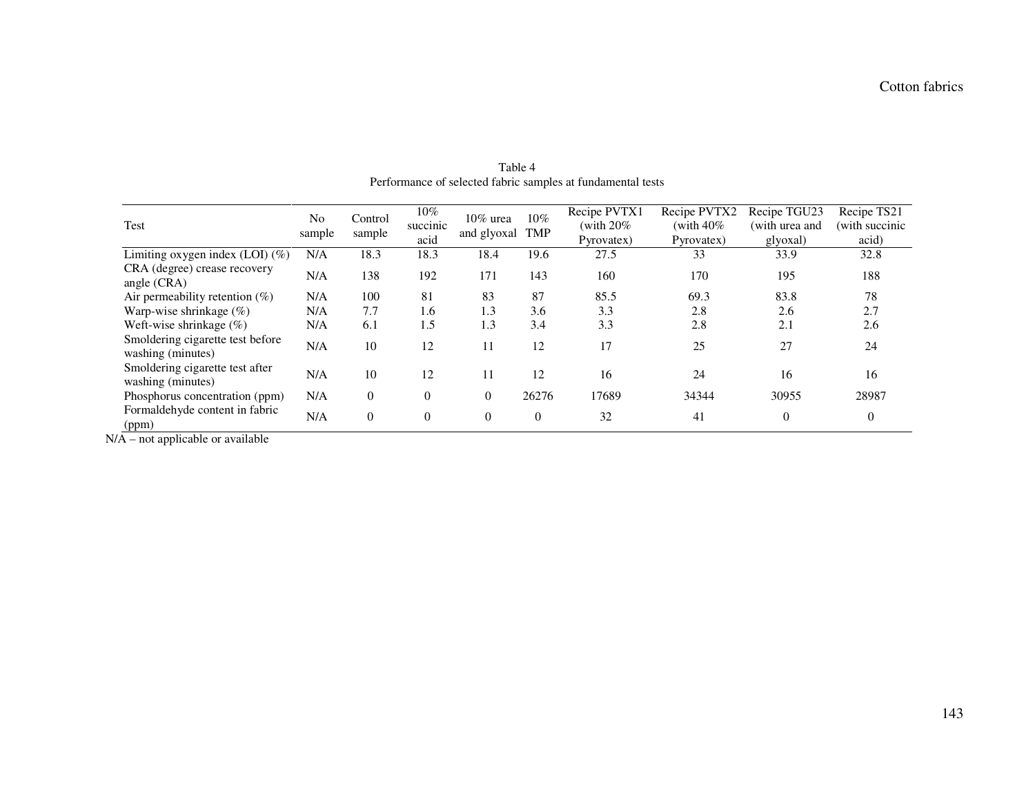| Test                                                  | N <sub>0</sub><br>sample | Control<br>sample | $10\%$<br>succinic<br>acid | 10% urea<br>and glyoxal | $10\%$<br><b>TMP</b> | Recipe PVTX1<br>(with $20\%$ )<br>Pyrovatex) | Recipe PVTX2<br>(with $40\%$ )<br>Pyrovatex) | Recipe TGU23<br>(with urea and<br>glyoxal) | Recipe TS21<br>(with succinic<br>acid) |
|-------------------------------------------------------|--------------------------|-------------------|----------------------------|-------------------------|----------------------|----------------------------------------------|----------------------------------------------|--------------------------------------------|----------------------------------------|
| Limiting oxygen index (LOI) (%)                       | N/A                      | 18.3              | 18.3                       | 18.4                    | 19.6                 | 27.5                                         | 33                                           | 33.9                                       | 32.8                                   |
| CRA (degree) crease recovery<br>angle $(CRA)$         | N/A                      | 138               | 192                        | 171                     | 143                  | 160                                          | 170                                          | 195                                        | 188                                    |
| Air permeability retention $(\%)$                     | N/A                      | 100               | 81                         | 83                      | 87                   | 85.5                                         | 69.3                                         | 83.8                                       | 78                                     |
| Warp-wise shrinkage $(\%)$                            | N/A                      | 7.7               | 1.6                        | 1.3                     | 3.6                  | 3.3                                          | 2.8                                          | 2.6                                        | 2.7                                    |
| Weft-wise shrinkage $(\%)$                            | N/A                      | 6.1               | 1.5                        | 1.3                     | 3.4                  | 3.3                                          | 2.8                                          | 2.1                                        | 2.6                                    |
| Smoldering cigarette test before<br>washing (minutes) | N/A                      | 10                | 12                         | 11                      | 12                   | 17                                           | 25                                           | 27                                         | 24                                     |
| Smoldering cigarette test after<br>washing (minutes)  | N/A                      | 10                | 12                         | 11                      | 12                   | 16                                           | 24                                           | 16                                         | 16                                     |
| Phosphorus concentration (ppm)                        | N/A                      | $\theta$          | $\theta$                   | $\theta$                | 26276                | 17689                                        | 34344                                        | 30955                                      | 28987                                  |
| Formaldehyde content in fabric<br>(ppm)               | N/A                      | $\Omega$          | $\Omega$                   | $\theta$                | $\theta$             | 32                                           | 41                                           | $\Omega$                                   | $\overline{0}$                         |

Table 4 Performance of selected fabric samples at fundamental tests

 $N/A$  – not applicable or available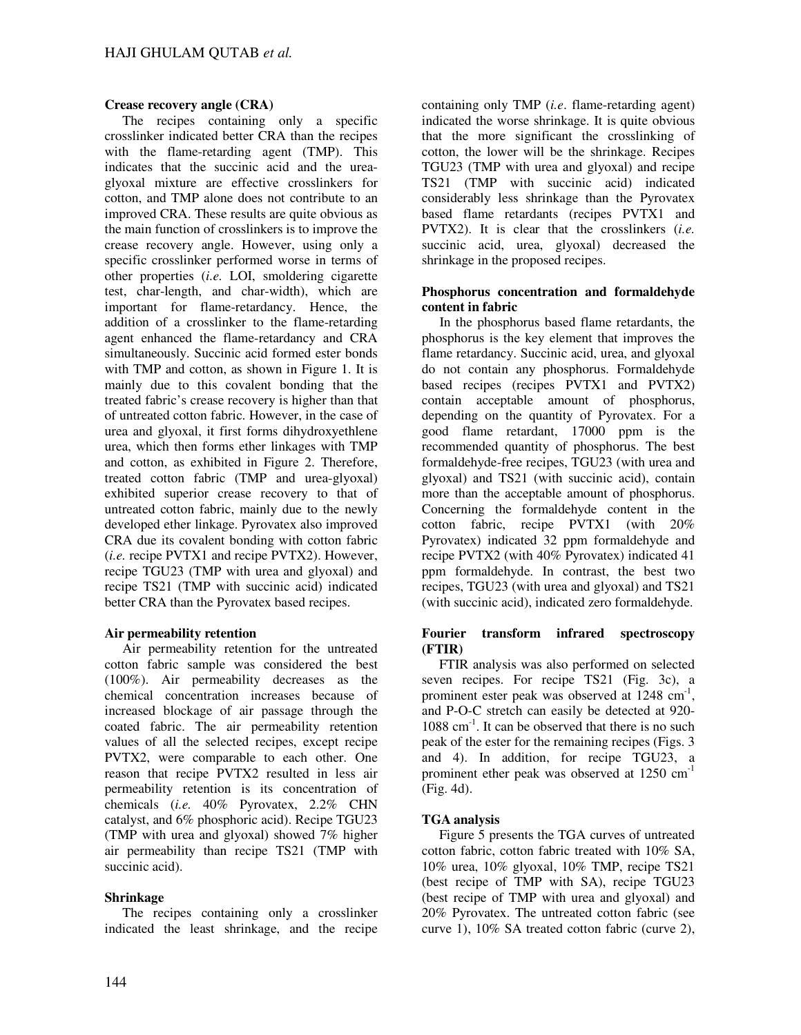# **Crease recovery angle (CRA)**

The recipes containing only a specific crosslinker indicated better CRA than the recipes with the flame-retarding agent (TMP). This indicates that the succinic acid and the ureaglyoxal mixture are effective crosslinkers for cotton, and TMP alone does not contribute to an improved CRA. These results are quite obvious as the main function of crosslinkers is to improve the crease recovery angle. However, using only a specific crosslinker performed worse in terms of other properties (*i.e.* LOI, smoldering cigarette test, char-length, and char-width), which are important for flame-retardancy. Hence, the addition of a crosslinker to the flame-retarding agent enhanced the flame-retardancy and CRA simultaneously. Succinic acid formed ester bonds with TMP and cotton, as shown in Figure 1. It is mainly due to this covalent bonding that the treated fabric's crease recovery is higher than that of untreated cotton fabric. However, in the case of urea and glyoxal, it first forms dihydroxyethlene urea, which then forms ether linkages with TMP and cotton, as exhibited in Figure 2. Therefore, treated cotton fabric (TMP and urea-glyoxal) exhibited superior crease recovery to that of untreated cotton fabric, mainly due to the newly developed ether linkage. Pyrovatex also improved CRA due its covalent bonding with cotton fabric (*i.e.* recipe PVTX1 and recipe PVTX2). However, recipe TGU23 (TMP with urea and glyoxal) and recipe TS21 (TMP with succinic acid) indicated better CRA than the Pyrovatex based recipes.

## **Air permeability retention**

Air permeability retention for the untreated cotton fabric sample was considered the best (100%). Air permeability decreases as the chemical concentration increases because of increased blockage of air passage through the coated fabric. The air permeability retention values of all the selected recipes, except recipe PVTX2, were comparable to each other. One reason that recipe PVTX2 resulted in less air permeability retention is its concentration of chemicals (*i.e.* 40% Pyrovatex, 2.2% CHN catalyst, and 6% phosphoric acid). Recipe TGU23 (TMP with urea and glyoxal) showed 7% higher air permeability than recipe TS21 (TMP with succinic acid).

## **Shrinkage**

The recipes containing only a crosslinker indicated the least shrinkage, and the recipe

containing only TMP (*i.e*. flame-retarding agent) indicated the worse shrinkage. It is quite obvious that the more significant the crosslinking of cotton, the lower will be the shrinkage. Recipes TGU23 (TMP with urea and glyoxal) and recipe TS21 (TMP with succinic acid) indicated considerably less shrinkage than the Pyrovatex based flame retardants (recipes PVTX1 and PVTX2). It is clear that the crosslinkers (*i.e.* succinic acid, urea, glyoxal) decreased the shrinkage in the proposed recipes.

## **Phosphorus concentration and formaldehyde content in fabric**

In the phosphorus based flame retardants, the phosphorus is the key element that improves the flame retardancy. Succinic acid, urea, and glyoxal do not contain any phosphorus. Formaldehyde based recipes (recipes PVTX1 and PVTX2) contain acceptable amount of phosphorus, depending on the quantity of Pyrovatex. For a good flame retardant, 17000 ppm is the recommended quantity of phosphorus. The best formaldehyde-free recipes, TGU23 (with urea and glyoxal) and TS21 (with succinic acid), contain more than the acceptable amount of phosphorus. Concerning the formaldehyde content in the cotton fabric, recipe PVTX1 (with 20% Pyrovatex) indicated 32 ppm formaldehyde and recipe PVTX2 (with 40% Pyrovatex) indicated 41 ppm formaldehyde. In contrast, the best two recipes, TGU23 (with urea and glyoxal) and TS21 (with succinic acid), indicated zero formaldehyde.

## **Fourier transform infrared spectroscopy (FTIR)**

FTIR analysis was also performed on selected seven recipes. For recipe TS21 (Fig. 3c), a prominent ester peak was observed at  $1248 \text{ cm}^{-1}$ , and P-O-C stretch can easily be detected at 920- 1088 cm<sup>-1</sup>. It can be observed that there is no such peak of the ester for the remaining recipes (Figs. 3 and 4). In addition, for recipe TGU23, a prominent ether peak was observed at 1250 cm<sup>-1</sup> (Fig. 4d).

# **TGA analysis**

Figure 5 presents the TGA curves of untreated cotton fabric, cotton fabric treated with 10% SA, 10% urea, 10% glyoxal, 10% TMP, recipe TS21 (best recipe of TMP with SA), recipe TGU23 (best recipe of TMP with urea and glyoxal) and 20% Pyrovatex. The untreated cotton fabric (see curve 1), 10% SA treated cotton fabric (curve 2),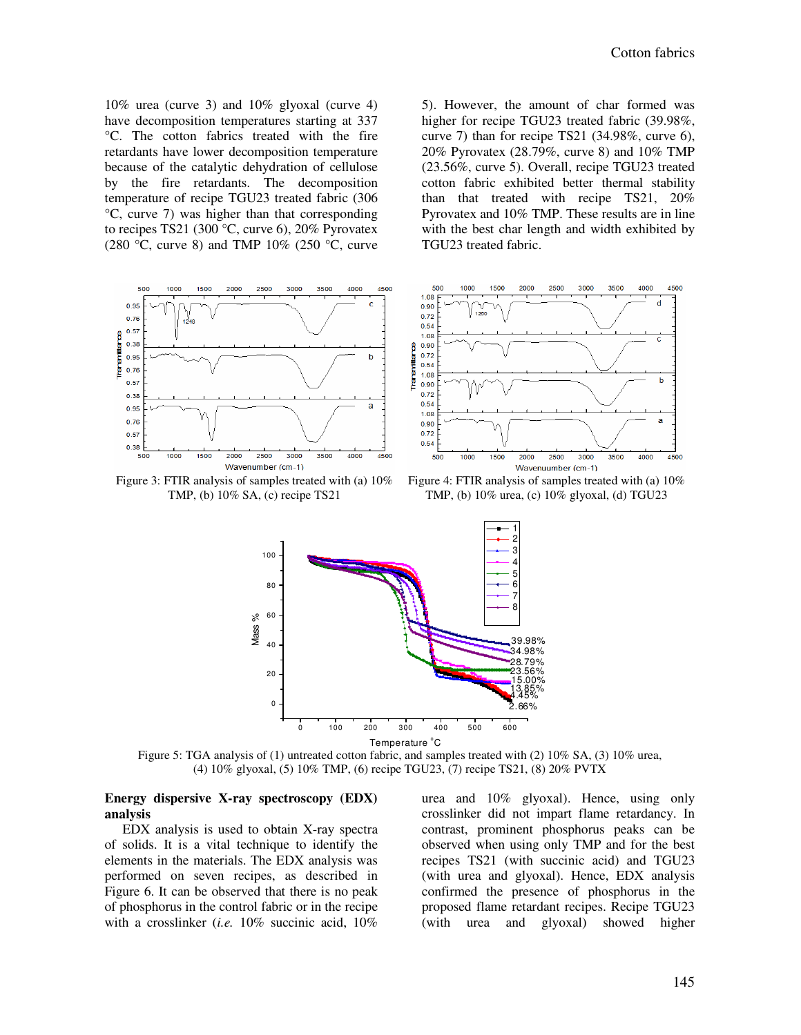4500

 $\mathbf b$ 

4500

10% urea (curve 3) and 10% glyoxal (curve 4) have decomposition temperatures starting at 337 °C. The cotton fabrics treated with the fire retardants have lower decomposition temperature because of the catalytic dehydration of cellulose by the fire retardants. The decomposition temperature of recipe TGU23 treated fabric (306 °C, curve 7) was higher than that corresponding to recipes TS21 (300 °C, curve 6), 20% Pyrovatex (280 °C, curve 8) and TMP 10% (250 °C, curve 5). However, the amount of char formed was higher for recipe TGU23 treated fabric (39.98%, curve 7) than for recipe TS21 (34.98%, curve 6), 20% Pyrovatex (28.79%, curve 8) and 10% TMP (23.56%, curve 5). Overall, recipe TGU23 treated cotton fabric exhibited better thermal stability than that treated with recipe TS21, 20% Pyrovatex and 10% TMP. These results are in line with the best char length and width exhibited by TGU23 treated fabric.



TMP, (b) 10% SA, (c) recipe TS21

TMP, (b) 10% urea, (c) 10% glyoxal, (d) TGU23



Figure 5: TGA analysis of (1) untreated cotton fabric, and samples treated with (2) 10% SA, (3) 10% urea, (4) 10% glyoxal, (5) 10% TMP, (6) recipe TGU23, (7) recipe TS21, (8) 20% PVTX

#### **Energy dispersive X-ray spectroscopy (EDX) analysis**

EDX analysis is used to obtain X-ray spectra of solids. It is a vital technique to identify the elements in the materials. The EDX analysis was performed on seven recipes, as described in Figure 6. It can be observed that there is no peak of phosphorus in the control fabric or in the recipe with a crosslinker (*i.e.* 10% succinic acid, 10%

urea and 10% glyoxal). Hence, using only crosslinker did not impart flame retardancy. In contrast, prominent phosphorus peaks can be observed when using only TMP and for the best recipes TS21 (with succinic acid) and TGU23 (with urea and glyoxal). Hence, EDX analysis confirmed the presence of phosphorus in the proposed flame retardant recipes. Recipe TGU23 (with urea and glyoxal) showed higher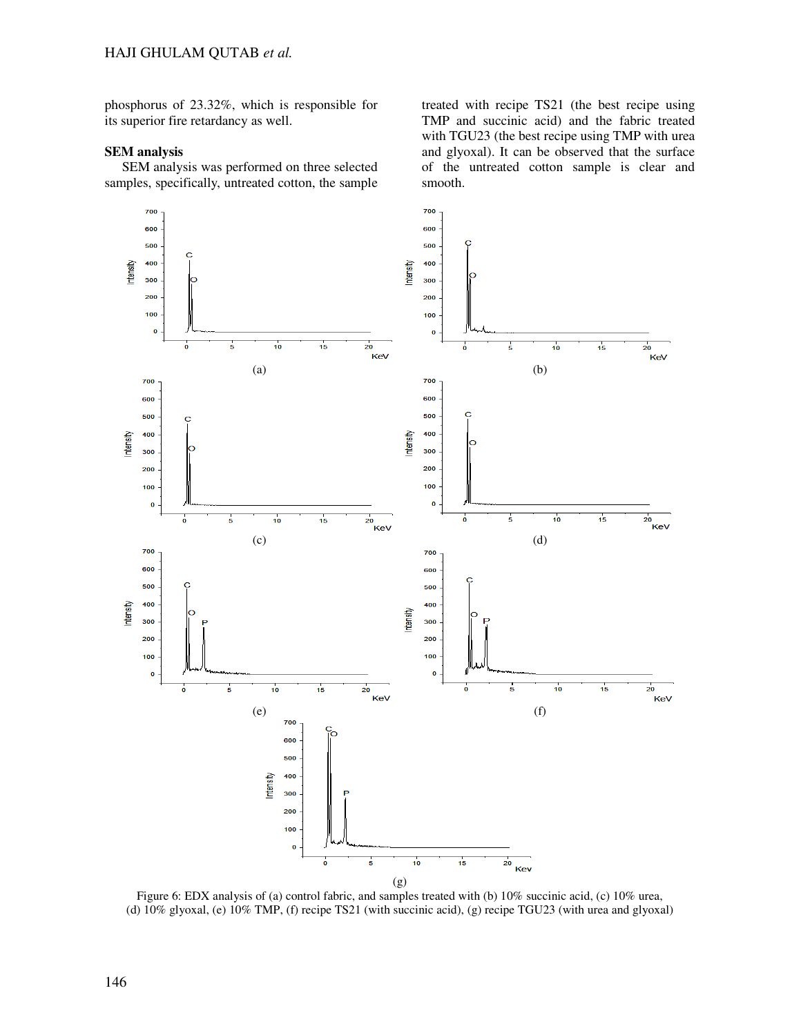phosphorus of 23.32%, which is responsible for its superior fire retardancy as well.

#### **SEM analysis**

SEM analysis was performed on three selected samples, specifically, untreated cotton, the sample treated with recipe TS21 (the best recipe using TMP and succinic acid) and the fabric treated with TGU23 (the best recipe using TMP with urea and glyoxal). It can be observed that the surface of the untreated cotton sample is clear and smooth.



Figure 6: EDX analysis of (a) control fabric, and samples treated with (b) 10% succinic acid, (c) 10% urea, (d) 10% glyoxal, (e) 10% TMP, (f) recipe TS21 (with succinic acid), (g) recipe TGU23 (with urea and glyoxal)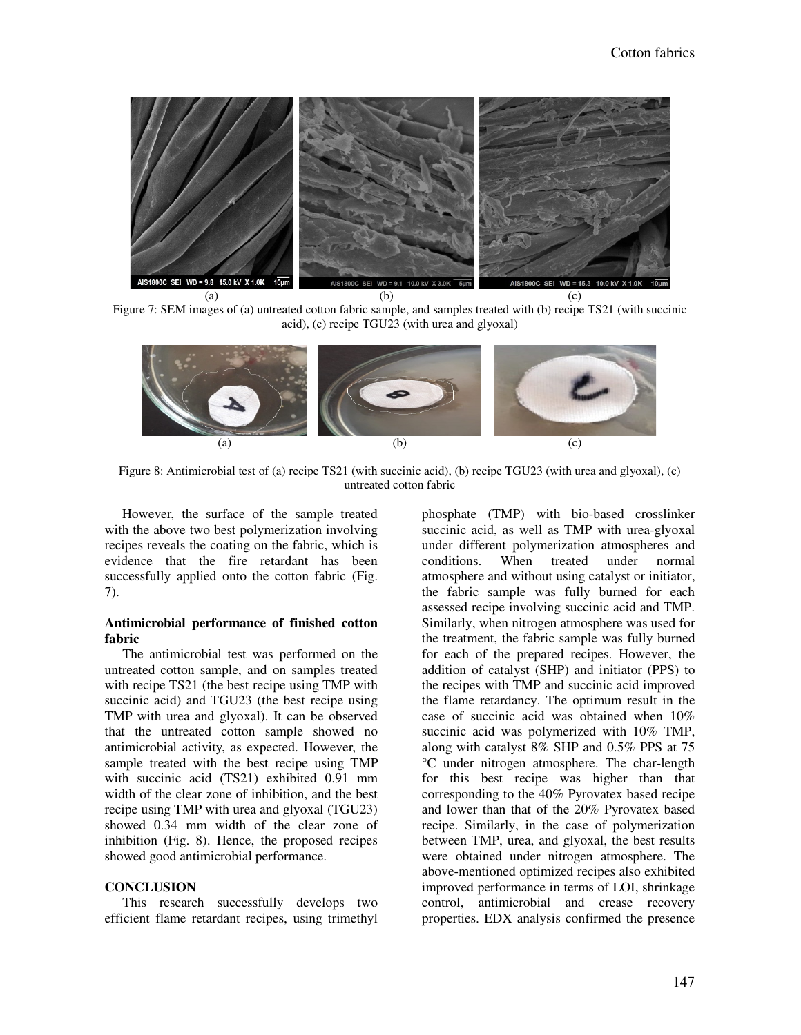

Figure 7: SEM images of (a) untreated cotton fabric sample, and samples treated with (b) recipe TS21 (with succinic acid), (c) recipe TGU23 (with urea and glyoxal)



Figure 8: Antimicrobial test of (a) recipe TS21 (with succinic acid), (b) recipe TGU23 (with urea and glyoxal), (c) untreated cotton fabric

However, the surface of the sample treated with the above two best polymerization involving recipes reveals the coating on the fabric, which is evidence that the fire retardant has been successfully applied onto the cotton fabric (Fig. 7).

#### **Antimicrobial performance of finished cotton fabric**

The antimicrobial test was performed on the untreated cotton sample, and on samples treated with recipe TS21 (the best recipe using TMP with succinic acid) and TGU23 (the best recipe using TMP with urea and glyoxal). It can be observed that the untreated cotton sample showed no antimicrobial activity, as expected. However, the sample treated with the best recipe using TMP with succinic acid (TS21) exhibited 0.91 mm width of the clear zone of inhibition, and the best recipe using TMP with urea and glyoxal (TGU23) showed 0.34 mm width of the clear zone of inhibition (Fig. 8). Hence, the proposed recipes showed good antimicrobial performance.

#### **CONCLUSION**

This research successfully develops two efficient flame retardant recipes, using trimethyl phosphate (TMP) with bio-based crosslinker succinic acid, as well as TMP with urea-glyoxal under different polymerization atmospheres and<br>conditions. When treated under normal conditions. When treated under normal atmosphere and without using catalyst or initiator, the fabric sample was fully burned for each assessed recipe involving succinic acid and TMP. Similarly, when nitrogen atmosphere was used for the treatment, the fabric sample was fully burned for each of the prepared recipes. However, the addition of catalyst (SHP) and initiator (PPS) to the recipes with TMP and succinic acid improved the flame retardancy. The optimum result in the case of succinic acid was obtained when 10% succinic acid was polymerized with 10% TMP, along with catalyst 8% SHP and 0.5% PPS at 75 °C under nitrogen atmosphere. The char-length for this best recipe was higher than that corresponding to the 40% Pyrovatex based recipe and lower than that of the 20% Pyrovatex based recipe. Similarly, in the case of polymerization between TMP, urea, and glyoxal, the best results were obtained under nitrogen atmosphere. The above-mentioned optimized recipes also exhibited improved performance in terms of LOI, shrinkage control, antimicrobial and crease recovery properties. EDX analysis confirmed the presence